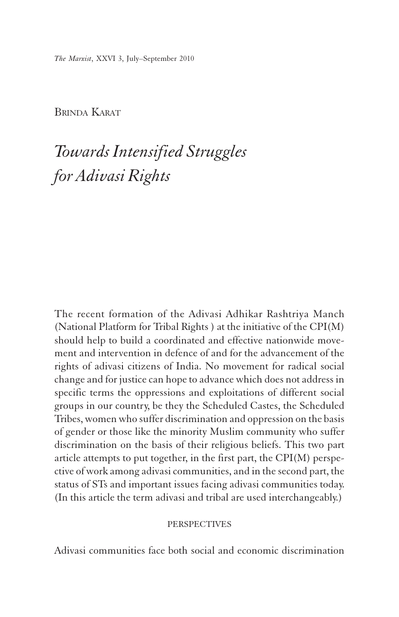*The Marxist*, XXVI 3, July–September 2010

BRINDA KARAT

# *Towards Intensified Struggles for Adivasi Rights*

The recent formation of the Adivasi Adhikar Rashtriya Manch (National Platform for Tribal Rights ) at the initiative of the CPI(M) should help to build a coordinated and effective nationwide movement and intervention in defence of and for the advancement of the rights of adivasi citizens of India. No movement for radical social change and for justice can hope to advance which does not address in specific terms the oppressions and exploitations of different social groups in our country, be they the Scheduled Castes, the Scheduled Tribes, women who suffer discrimination and oppression on the basis of gender or those like the minority Muslim community who suffer discrimination on the basis of their religious beliefs. This two part article attempts to put together, in the first part, the CPI(M) perspective of work among adivasi communities, and in the second part, the status of STs and important issues facing adivasi communities today. (In this article the term adivasi and tribal are used interchangeably.)

## **PERSPECTIVES**

Adivasi communities face both social and economic discrimination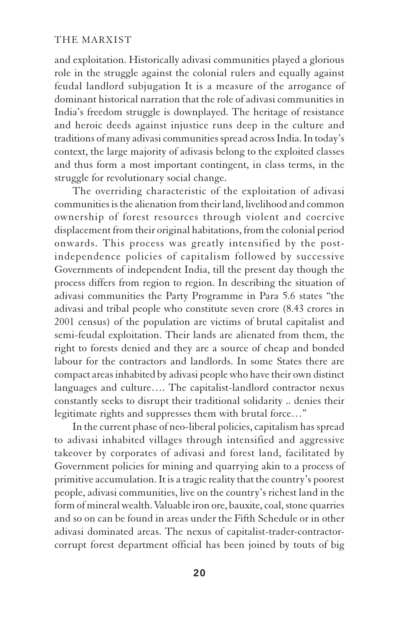and exploitation. Historically adivasi communities played a glorious role in the struggle against the colonial rulers and equally against feudal landlord subjugation It is a measure of the arrogance of dominant historical narration that the role of adivasi communities in India's freedom struggle is downplayed. The heritage of resistance and heroic deeds against injustice runs deep in the culture and traditions of many adivasi communities spread across India. In today's context, the large majority of adivasis belong to the exploited classes and thus form a most important contingent, in class terms, in the struggle for revolutionary social change.

The overriding characteristic of the exploitation of adivasi communities is the alienation from their land, livelihood and common ownership of forest resources through violent and coercive displacement from their original habitations, from the colonial period onwards. This process was greatly intensified by the postindependence policies of capitalism followed by successive Governments of independent India, till the present day though the process differs from region to region. In describing the situation of adivasi communities the Party Programme in Para 5.6 states "the adivasi and tribal people who constitute seven crore (8.43 crores in 2001 census) of the population are victims of brutal capitalist and semi-feudal exploitation. Their lands are alienated from them, the right to forests denied and they are a source of cheap and bonded labour for the contractors and landlords. In some States there are compact areas inhabited by adivasi people who have their own distinct languages and culture…. The capitalist-landlord contractor nexus constantly seeks to disrupt their traditional solidarity .. denies their legitimate rights and suppresses them with brutal force…"

In the current phase of neo-liberal policies, capitalism has spread to adivasi inhabited villages through intensified and aggressive takeover by corporates of adivasi and forest land, facilitated by Government policies for mining and quarrying akin to a process of primitive accumulation. It is a tragic reality that the country's poorest people, adivasi communities, live on the country's richest land in the form of mineral wealth. Valuable iron ore, bauxite, coal, stone quarries and so on can be found in areas under the Fifth Schedule or in other adivasi dominated areas. The nexus of capitalist-trader-contractorcorrupt forest department official has been joined by touts of big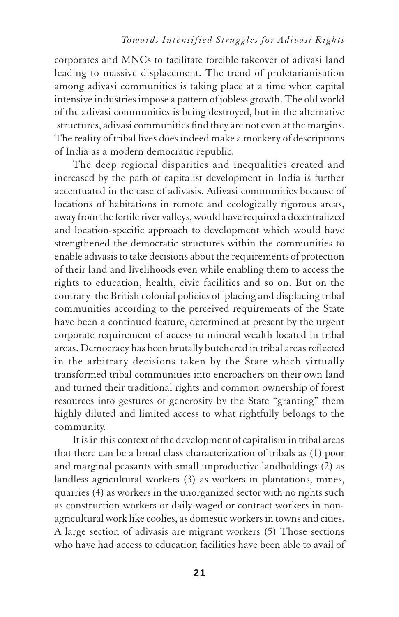corporates and MNCs to facilitate forcible takeover of adivasi land leading to massive displacement. The trend of proletarianisation among adivasi communities is taking place at a time when capital intensive industries impose a pattern of jobless growth. The old world of the adivasi communities is being destroyed, but in the alternative structures, adivasi communities find they are not even at the margins. The reality of tribal lives does indeed make a mockery of descriptions of India as a modern democratic republic.

The deep regional disparities and inequalities created and increased by the path of capitalist development in India is further accentuated in the case of adivasis. Adivasi communities because of locations of habitations in remote and ecologically rigorous areas, away from the fertile river valleys, would have required a decentralized and location-specific approach to development which would have strengthened the democratic structures within the communities to enable adivasis to take decisions about the requirements of protection of their land and livelihoods even while enabling them to access the rights to education, health, civic facilities and so on. But on the contrary the British colonial policies of placing and displacing tribal communities according to the perceived requirements of the State have been a continued feature, determined at present by the urgent corporate requirement of access to mineral wealth located in tribal areas. Democracy has been brutally butchered in tribal areas reflected in the arbitrary decisions taken by the State which virtually transformed tribal communities into encroachers on their own land and turned their traditional rights and common ownership of forest resources into gestures of generosity by the State "granting" them highly diluted and limited access to what rightfully belongs to the community.

It is in this context of the development of capitalism in tribal areas that there can be a broad class characterization of tribals as (1) poor and marginal peasants with small unproductive landholdings (2) as landless agricultural workers (3) as workers in plantations, mines, quarries (4) as workers in the unorganized sector with no rights such as construction workers or daily waged or contract workers in nonagricultural work like coolies, as domestic workers in towns and cities. A large section of adivasis are migrant workers (5) Those sections who have had access to education facilities have been able to avail of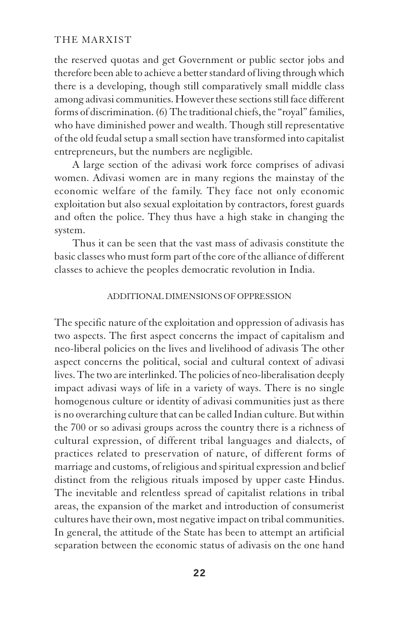the reserved quotas and get Government or public sector jobs and therefore been able to achieve a better standard of living through which there is a developing, though still comparatively small middle class among adivasi communities. However these sections still face different forms of discrimination. (6) The traditional chiefs, the "royal" families, who have diminished power and wealth. Though still representative of the old feudal setup a small section have transformed into capitalist entrepreneurs, but the numbers are negligible.

A large section of the adivasi work force comprises of adivasi women. Adivasi women are in many regions the mainstay of the economic welfare of the family. They face not only economic exploitation but also sexual exploitation by contractors, forest guards and often the police. They thus have a high stake in changing the system.

Thus it can be seen that the vast mass of adivasis constitute the basic classes who must form part of the core of the alliance of different classes to achieve the peoples democratic revolution in India.

#### ADDITIONAL DIMENSIONS OF OPPRESSION

The specific nature of the exploitation and oppression of adivasis has two aspects. The first aspect concerns the impact of capitalism and neo-liberal policies on the lives and livelihood of adivasis The other aspect concerns the political, social and cultural context of adivasi lives. The two are interlinked. The policies of neo-liberalisation deeply impact adivasi ways of life in a variety of ways. There is no single homogenous culture or identity of adivasi communities just as there is no overarching culture that can be called Indian culture. But within the 700 or so adivasi groups across the country there is a richness of cultural expression, of different tribal languages and dialects, of practices related to preservation of nature, of different forms of marriage and customs, of religious and spiritual expression and belief distinct from the religious rituals imposed by upper caste Hindus. The inevitable and relentless spread of capitalist relations in tribal areas, the expansion of the market and introduction of consumerist cultures have their own, most negative impact on tribal communities. In general, the attitude of the State has been to attempt an artificial separation between the economic status of adivasis on the one hand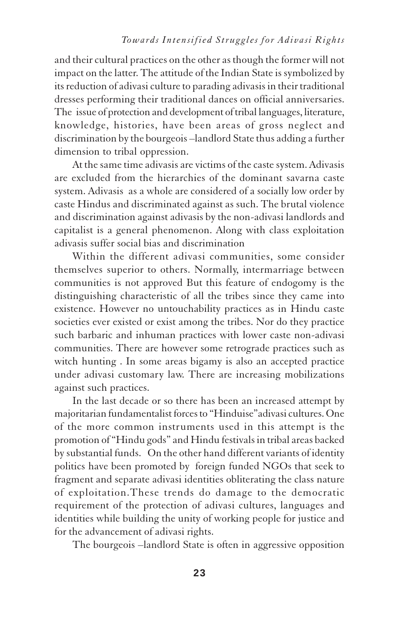and their cultural practices on the other as though the former will not impact on the latter. The attitude of the Indian State is symbolized by its reduction of adivasi culture to parading adivasis in their traditional dresses performing their traditional dances on official anniversaries. The issue of protection and development of tribal languages, literature, knowledge, histories, have been areas of gross neglect and discrimination by the bourgeois –landlord State thus adding a further dimension to tribal oppression.

At the same time adivasis are victims of the caste system. Adivasis are excluded from the hierarchies of the dominant savarna caste system. Adivasis as a whole are considered of a socially low order by caste Hindus and discriminated against as such. The brutal violence and discrimination against adivasis by the non-adivasi landlords and capitalist is a general phenomenon. Along with class exploitation adivasis suffer social bias and discrimination

Within the different adivasi communities, some consider themselves superior to others. Normally, intermarriage between communities is not approved But this feature of endogomy is the distinguishing characteristic of all the tribes since they came into existence. However no untouchability practices as in Hindu caste societies ever existed or exist among the tribes. Nor do they practice such barbaric and inhuman practices with lower caste non-adivasi communities. There are however some retrograde practices such as witch hunting . In some areas bigamy is also an accepted practice under adivasi customary law. There are increasing mobilizations against such practices.

In the last decade or so there has been an increased attempt by majoritarian fundamentalist forces to "Hinduise"adivasi cultures. One of the more common instruments used in this attempt is the promotion of "Hindu gods" and Hindu festivals in tribal areas backed by substantial funds. On the other hand different variants of identity politics have been promoted by foreign funded NGOs that seek to fragment and separate adivasi identities obliterating the class nature of exploitation.These trends do damage to the democratic requirement of the protection of adivasi cultures, languages and identities while building the unity of working people for justice and for the advancement of adivasi rights.

The bourgeois –landlord State is often in aggressive opposition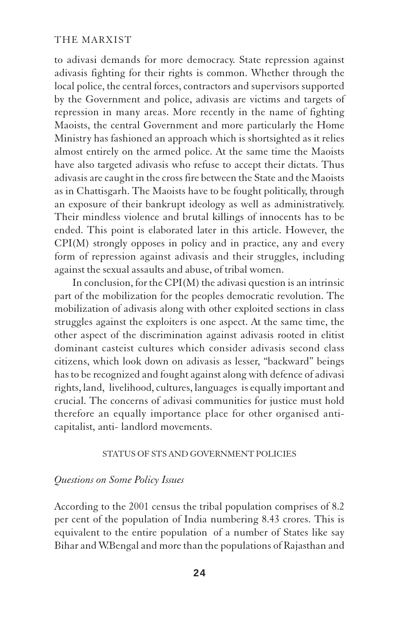to adivasi demands for more democracy. State repression against adivasis fighting for their rights is common. Whether through the local police, the central forces, contractors and supervisors supported by the Government and police, adivasis are victims and targets of repression in many areas. More recently in the name of fighting Maoists, the central Government and more particularly the Home Ministry has fashioned an approach which is shortsighted as it relies almost entirely on the armed police. At the same time the Maoists have also targeted adivasis who refuse to accept their dictats. Thus adivasis are caught in the cross fire between the State and the Maoists as in Chattisgarh. The Maoists have to be fought politically, through an exposure of their bankrupt ideology as well as administratively. Their mindless violence and brutal killings of innocents has to be ended. This point is elaborated later in this article. However, the CPI(M) strongly opposes in policy and in practice, any and every form of repression against adivasis and their struggles, including against the sexual assaults and abuse, of tribal women.

In conclusion, for the CPI(M) the adivasi question is an intrinsic part of the mobilization for the peoples democratic revolution. The mobilization of adivasis along with other exploited sections in class struggles against the exploiters is one aspect. At the same time, the other aspect of the discrimination against adivasis rooted in elitist dominant casteist cultures which consider adivasis second class citizens, which look down on adivasis as lesser, "backward" beings has to be recognized and fought against along with defence of adivasi rights, land, livelihood, cultures, languages is equally important and crucial. The concerns of adivasi communities for justice must hold therefore an equally importance place for other organised anticapitalist, anti- landlord movements.

#### STATUS OF STS AND GOVERNMENT POLICIES

### *Questions on Some Policy Issues*

According to the 2001 census the tribal population comprises of 8.2 per cent of the population of India numbering 8.43 crores. This is equivalent to the entire population of a number of States like say Bihar and W.Bengal and more than the populations of Rajasthan and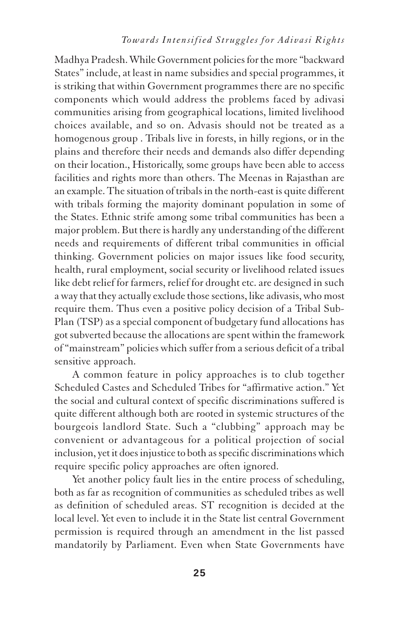Madhya Pradesh. While Government policies for the more "backward States" include, at least in name subsidies and special programmes, it is striking that within Government programmes there are no specific components which would address the problems faced by adivasi communities arising from geographical locations, limited livelihood choices available, and so on. Advasis should not be treated as a homogenous group . Tribals live in forests, in hilly regions, or in the plains and therefore their needs and demands also differ depending on their location., Historically, some groups have been able to access facilities and rights more than others. The Meenas in Rajasthan are an example. The situation of tribals in the north-east is quite different with tribals forming the majority dominant population in some of the States. Ethnic strife among some tribal communities has been a major problem. But there is hardly any understanding of the different needs and requirements of different tribal communities in official thinking. Government policies on major issues like food security, health, rural employment, social security or livelihood related issues like debt relief for farmers, relief for drought etc. are designed in such a way that they actually exclude those sections, like adivasis, who most require them. Thus even a positive policy decision of a Tribal Sub-Plan (TSP) as a special component of budgetary fund allocations has got subverted because the allocations are spent within the framework of "mainstream" policies which suffer from a serious deficit of a tribal sensitive approach.

A common feature in policy approaches is to club together Scheduled Castes and Scheduled Tribes for "affirmative action." Yet the social and cultural context of specific discriminations suffered is quite different although both are rooted in systemic structures of the bourgeois landlord State. Such a "clubbing" approach may be convenient or advantageous for a political projection of social inclusion, yet it does injustice to both as specific discriminations which require specific policy approaches are often ignored.

Yet another policy fault lies in the entire process of scheduling, both as far as recognition of communities as scheduled tribes as well as definition of scheduled areas. ST recognition is decided at the local level. Yet even to include it in the State list central Government permission is required through an amendment in the list passed mandatorily by Parliament. Even when State Governments have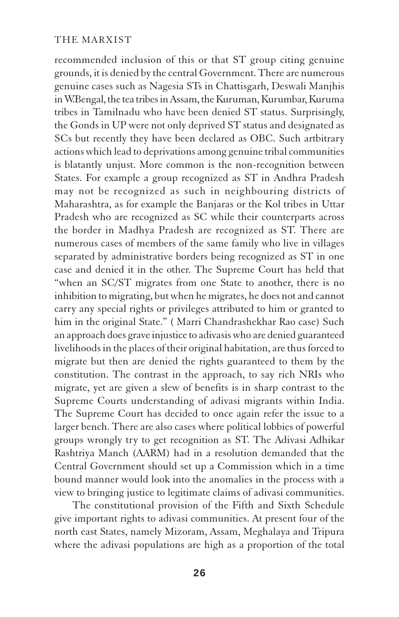recommended inclusion of this or that ST group citing genuine grounds, it is denied by the central Government. There are numerous genuine cases such as Nagesia STs in Chattisgarh, Deswali Manjhis in W.Bengal, the tea tribes in Assam, the Kuruman, Kurumbar, Kuruma tribes in Tamilnadu who have been denied ST status. Surprisingly, the Gonds in UP were not only deprived ST status and designated as SCs but recently they have been declared as OBC. Such artbitrary actions which lead to deprivations among genuine tribal communities is blatantly unjust. More common is the non-recognition between States. For example a group recognized as ST in Andhra Pradesh may not be recognized as such in neighbouring districts of Maharashtra, as for example the Banjaras or the Kol tribes in Uttar Pradesh who are recognized as SC while their counterparts across the border in Madhya Pradesh are recognized as ST. There are numerous cases of members of the same family who live in villages separated by administrative borders being recognized as ST in one case and denied it in the other. The Supreme Court has held that "when an SC/ST migrates from one State to another, there is no inhibition to migrating, but when he migrates, he does not and cannot carry any special rights or privileges attributed to him or granted to him in the original State." ( Marri Chandrashekhar Rao case) Such an approach does grave injustice to adivasis who are denied guaranteed livelihoods in the places of their original habitation, are thus forced to migrate but then are denied the rights guaranteed to them by the constitution. The contrast in the approach, to say rich NRIs who migrate, yet are given a slew of benefits is in sharp contrast to the Supreme Courts understanding of adivasi migrants within India. The Supreme Court has decided to once again refer the issue to a larger bench. There are also cases where political lobbies of powerful groups wrongly try to get recognition as ST. The Adivasi Adhikar Rashtriya Manch (AARM) had in a resolution demanded that the Central Government should set up a Commission which in a time bound manner would look into the anomalies in the process with a view to bringing justice to legitimate claims of adivasi communities.

The constitutional provision of the Fifth and Sixth Schedule give important rights to adivasi communities. At present four of the north east States, namely Mizoram, Assam, Meghalaya and Tripura where the adivasi populations are high as a proportion of the total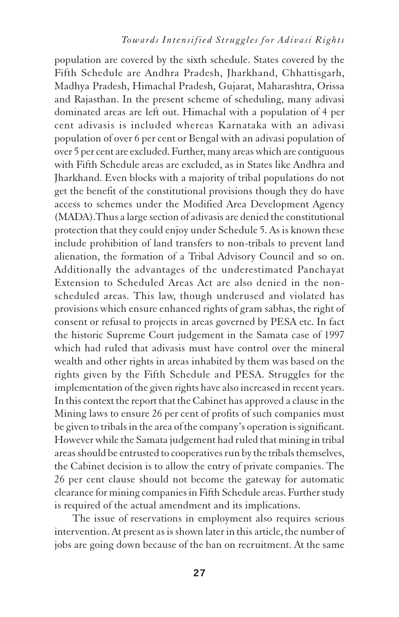population are covered by the sixth schedule. States covered by the Fifth Schedule are Andhra Pradesh, Jharkhand, Chhattisgarh, Madhya Pradesh, Himachal Pradesh, Gujarat, Maharashtra, Orissa and Rajasthan. In the present scheme of scheduling, many adivasi dominated areas are left out. Himachal with a population of 4 per cent adivasis is included whereas Karnataka with an adivasi population of over 6 per cent or Bengal with an adivasi population of over 5 per cent are excluded. Further, many areas which are contiguous with Fifth Schedule areas are excluded, as in States like Andhra and Jharkhand. Even blocks with a majority of tribal populations do not get the benefit of the constitutional provisions though they do have access to schemes under the Modified Area Development Agency (MADA).Thus a large section of adivasis are denied the constitutional protection that they could enjoy under Schedule 5. As is known these include prohibition of land transfers to non-tribals to prevent land alienation, the formation of a Tribal Advisory Council and so on. Additionally the advantages of the underestimated Panchayat Extension to Scheduled Areas Act are also denied in the nonscheduled areas. This law, though underused and violated has provisions which ensure enhanced rights of gram sabhas, the right of consent or refusal to projects in areas governed by PESA etc. In fact the historic Supreme Court judgement in the Samata case of 1997 which had ruled that adivasis must have control over the mineral wealth and other rights in areas inhabited by them was based on the rights given by the Fifth Schedule and PESA. Struggles for the implementation of the given rights have also increased in recent years. In this context the report that the Cabinet has approved a clause in the Mining laws to ensure 26 per cent of profits of such companies must be given to tribals in the area of the company's operation is significant. However while the Samata judgement had ruled that mining in tribal areas should be entrusted to cooperatives run by the tribals themselves, the Cabinet decision is to allow the entry of private companies. The 26 per cent clause should not become the gateway for automatic clearance for mining companies in Fifth Schedule areas. Further study is required of the actual amendment and its implications.

The issue of reservations in employment also requires serious intervention. At present as is shown later in this article, the number of jobs are going down because of the ban on recruitment. At the same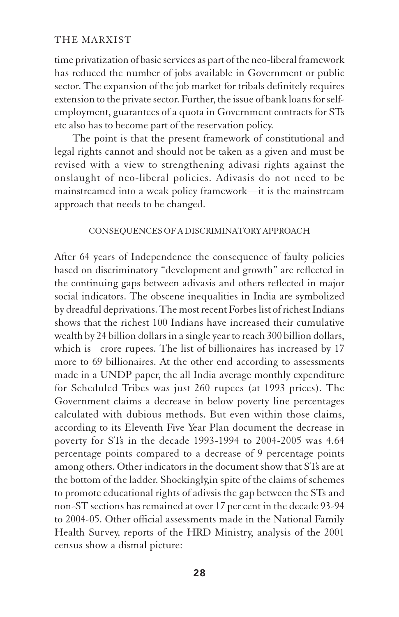time privatization of basic services as part of the neo-liberal framework has reduced the number of jobs available in Government or public sector. The expansion of the job market for tribals definitely requires extension to the private sector. Further, the issue of bank loans for selfemployment, guarantees of a quota in Government contracts for STs etc also has to become part of the reservation policy.

The point is that the present framework of constitutional and legal rights cannot and should not be taken as a given and must be revised with a view to strengthening adivasi rights against the onslaught of neo-liberal policies. Adivasis do not need to be mainstreamed into a weak policy framework—it is the mainstream approach that needs to be changed.

## CONSEQUENCES OF A DISCRIMINATORY APPROACH

After 64 years of Independence the consequence of faulty policies based on discriminatory "development and growth" are reflected in the continuing gaps between adivasis and others reflected in major social indicators. The obscene inequalities in India are symbolized by dreadful deprivations. The most recent Forbes list of richest Indians shows that the richest 100 Indians have increased their cumulative wealth by 24 billion dollars in a single year to reach 300 billion dollars, which is crore rupees. The list of billionaires has increased by 17 more to 69 billionaires. At the other end according to assessments made in a UNDP paper, the all India average monthly expenditure for Scheduled Tribes was just 260 rupees (at 1993 prices). The Government claims a decrease in below poverty line percentages calculated with dubious methods. But even within those claims, according to its Eleventh Five Year Plan document the decrease in poverty for STs in the decade 1993-1994 to 2004-2005 was 4.64 percentage points compared to a decrease of 9 percentage points among others. Other indicators in the document show that STs are at the bottom of the ladder. Shockingly,in spite of the claims of schemes to promote educational rights of adivsis the gap between the STs and non-ST sections has remained at over 17 per cent in the decade 93-94 to 2004-05. Other official assessments made in the National Family Health Survey, reports of the HRD Ministry, analysis of the 2001 census show a dismal picture: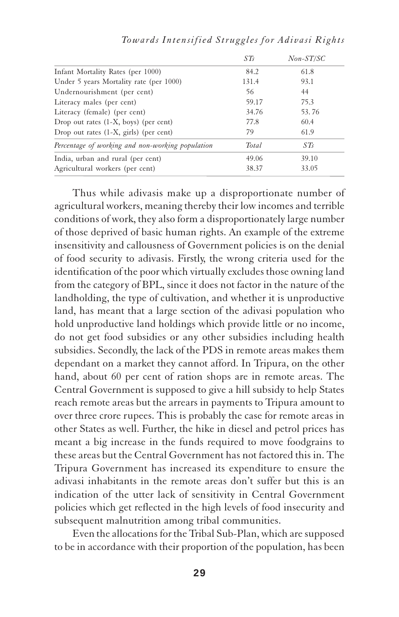*Towards Intensified Struggles for Adivasi Rights*

Thus while adivasis make up a disproportionate number of agricultural workers, meaning thereby their low incomes and terrible conditions of work, they also form a disproportionately large number of those deprived of basic human rights. An example of the extreme insensitivity and callousness of Government policies is on the denial of food security to adivasis. Firstly, the wrong criteria used for the identification of the poor which virtually excludes those owning land from the category of BPL, since it does not factor in the nature of the landholding, the type of cultivation, and whether it is unproductive land, has meant that a large section of the adivasi population who hold unproductive land holdings which provide little or no income, do not get food subsidies or any other subsidies including health subsidies. Secondly, the lack of the PDS in remote areas makes them dependant on a market they cannot afford. In Tripura, on the other hand, about 60 per cent of ration shops are in remote areas. The Central Government is supposed to give a hill subsidy to help States reach remote areas but the arrears in payments to Tripura amount to over three crore rupees. This is probably the case for remote areas in other States as well. Further, the hike in diesel and petrol prices has meant a big increase in the funds required to move foodgrains to these areas but the Central Government has not factored this in. The Tripura Government has increased its expenditure to ensure the adivasi inhabitants in the remote areas don't suffer but this is an indication of the utter lack of sensitivity in Central Government policies which get reflected in the high levels of food insecurity and subsequent malnutrition among tribal communities.

Even the allocations for the Tribal Sub-Plan, which are supposed to be in accordance with their proportion of the population, has been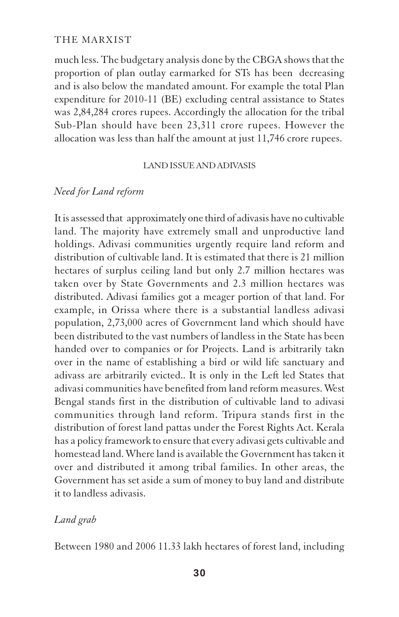much less. The budgetary analysis done by the CBGA shows that the proportion of plan outlay earmarked for STs has been decreasing and is also below the mandated amount. For example the total Plan expenditure for 2010-11 (BE) excluding central assistance to States was 2,84,284 crores rupees. Accordingly the allocation for the tribal Sub-Plan should have been 23,311 crore rupees. However the allocation was less than half the amount at just 11,746 crore rupees.

### LAND ISSUE AND ADIVASIS

# *Need for Land reform*

It is assessed that approximately one third of adivasis have no cultivable land. The majority have extremely small and unproductive land holdings. Adivasi communities urgently require land reform and distribution of cultivable land. It is estimated that there is 21 million hectares of surplus ceiling land but only 2.7 million hectares was taken over by State Governments and 2.3 million hectares was distributed. Adivasi families got a meager portion of that land. For example, in Orissa where there is a substantial landless adivasi population, 2,73,000 acres of Government land which should have been distributed to the vast numbers of landless in the State has been handed over to companies or for Projects. Land is arbitrarily takn over in the name of establishing a bird or wild life sanctuary and adivass are arbitrarily evicted.. It is only in the Left led States that adivasi communities have benefited from land reform measures. West Bengal stands first in the distribution of cultivable land to adivasi communities through land reform. Tripura stands first in the distribution of forest land pattas under the Forest Rights Act. Kerala has a policy framework to ensure that every adivasi gets cultivable and homestead land. Where land is available the Government has taken it over and distributed it among tribal families. In other areas, the Government has set aside a sum of money to buy land and distribute it to landless adivasis.

# *Land grab*

Between 1980 and 2006 11.33 lakh hectares of forest land, including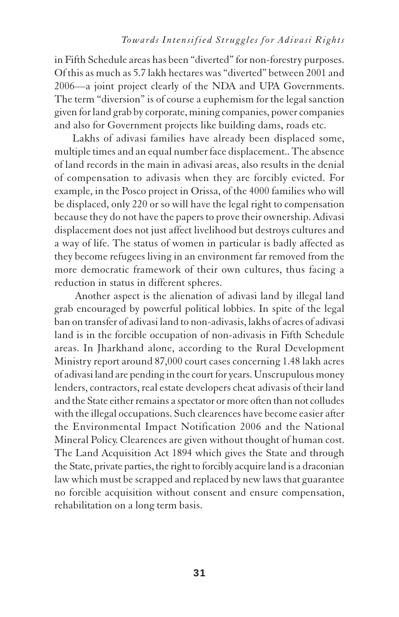in Fifth Schedule areas has been "diverted" for non-forestry purposes. Of this as much as 5.7 lakh hectares was "diverted" between 2001 and 2006—a joint project clearly of the NDA and UPA Governments. The term "diversion" is of course a euphemism for the legal sanction given for land grab by corporate, mining companies, power companies and also for Government projects like building dams, roads etc.

Lakhs of adivasi families have already been displaced some, multiple times and an equal number face displacement.. The absence of land records in the main in adivasi areas, also results in the denial of compensation to adivasis when they are forcibly evicted. For example, in the Posco project in Orissa, of the 4000 families who will be displaced, only 220 or so will have the legal right to compensation because they do not have the papers to prove their ownership. Adivasi displacement does not just affect livelihood but destroys cultures and a way of life. The status of women in particular is badly affected as they become refugees living in an environment far removed from the more democratic framework of their own cultures, thus facing a reduction in status in different spheres.

 Another aspect is the alienation of adivasi land by illegal land grab encouraged by powerful political lobbies. In spite of the legal ban on transfer of adivasi land to non-adivasis, lakhs of acres of adivasi land is in the forcible occupation of non-adivasis in Fifth Schedule areas. In Jharkhand alone, according to the Rural Development Ministry report around 87,000 court cases concerning 1.48 lakh acres of adivasi land are pending in the court for years. Unscrupulous money lenders, contractors, real estate developers cheat adivasis of their land and the State either remains a spectator or more often than not colludes with the illegal occupations. Such clearences have become easier after the Environmental Impact Notification 2006 and the National Mineral Policy. Clearences are given without thought of human cost. The Land Acquisition Act 1894 which gives the State and through the State, private parties, the right to forcibly acquire land is a draconian law which must be scrapped and replaced by new laws that guarantee no forcible acquisition without consent and ensure compensation, rehabilitation on a long term basis.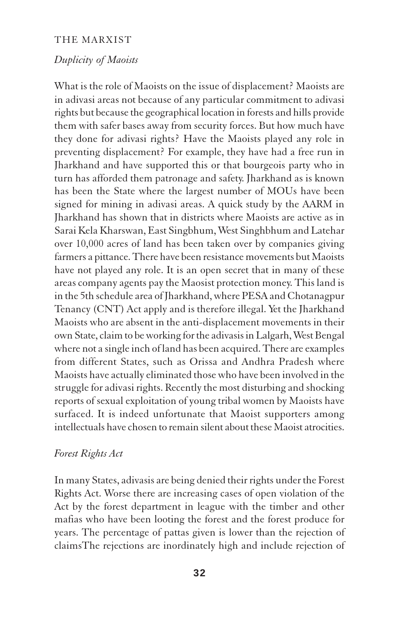# *Duplicity of Maoists*

What is the role of Maoists on the issue of displacement? Maoists are in adivasi areas not because of any particular commitment to adivasi rights but because the geographical location in forests and hills provide them with safer bases away from security forces. But how much have they done for adivasi rights? Have the Maoists played any role in preventing displacement? For example, they have had a free run in Jharkhand and have supported this or that bourgeois party who in turn has afforded them patronage and safety. Jharkhand as is known has been the State where the largest number of MOUs have been signed for mining in adivasi areas. A quick study by the AARM in Jharkhand has shown that in districts where Maoists are active as in Sarai Kela Kharswan, East Singbhum, West Singhbhum and Latehar over 10,000 acres of land has been taken over by companies giving farmers a pittance. There have been resistance movements but Maoists have not played any role. It is an open secret that in many of these areas company agents pay the Maosist protection money. This land is in the 5th schedule area of Jharkhand, where PESA and Chotanagpur Tenancy (CNT) Act apply and is therefore illegal. Yet the Jharkhand Maoists who are absent in the anti-displacement movements in their own State, claim to be working for the adivasis in Lalgarh, West Bengal where not a single inch of land has been acquired. There are examples from different States, such as Orissa and Andhra Pradesh where Maoists have actually eliminated those who have been involved in the struggle for adivasi rights. Recently the most disturbing and shocking reports of sexual exploitation of young tribal women by Maoists have surfaced. It is indeed unfortunate that Maoist supporters among intellectuals have chosen to remain silent about these Maoist atrocities.

#### *Forest Rights Act*

In many States, adivasis are being denied their rights under the Forest Rights Act. Worse there are increasing cases of open violation of the Act by the forest department in league with the timber and other mafias who have been looting the forest and the forest produce for years. The percentage of pattas given is lower than the rejection of claimsThe rejections are inordinately high and include rejection of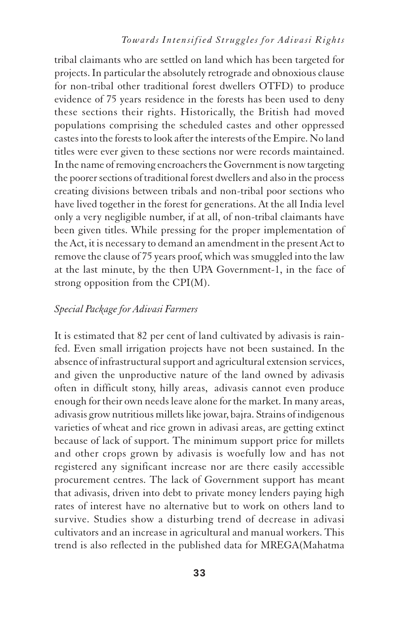tribal claimants who are settled on land which has been targeted for projects. In particular the absolutely retrograde and obnoxious clause for non-tribal other traditional forest dwellers OTFD) to produce evidence of 75 years residence in the forests has been used to deny these sections their rights. Historically, the British had moved populations comprising the scheduled castes and other oppressed castes into the forests to look after the interests of the Empire. No land titles were ever given to these sections nor were records maintained. In the name of removing encroachers the Government is now targeting the poorer sections of traditional forest dwellers and also in the process creating divisions between tribals and non-tribal poor sections who have lived together in the forest for generations. At the all India level only a very negligible number, if at all, of non-tribal claimants have been given titles. While pressing for the proper implementation of the Act, it is necessary to demand an amendment in the present Act to remove the clause of 75 years proof, which was smuggled into the law at the last minute, by the then UPA Government-1, in the face of strong opposition from the CPI(M).

# *Special Package for Adivasi Farmers*

It is estimated that 82 per cent of land cultivated by adivasis is rainfed. Even small irrigation projects have not been sustained. In the absence of infrastructural support and agricultural extension services, and given the unproductive nature of the land owned by adivasis often in difficult stony, hilly areas, adivasis cannot even produce enough for their own needs leave alone for the market. In many areas, adivasis grow nutritious millets like jowar, bajra. Strains of indigenous varieties of wheat and rice grown in adivasi areas, are getting extinct because of lack of support. The minimum support price for millets and other crops grown by adivasis is woefully low and has not registered any significant increase nor are there easily accessible procurement centres. The lack of Government support has meant that adivasis, driven into debt to private money lenders paying high rates of interest have no alternative but to work on others land to survive. Studies show a disturbing trend of decrease in adivasi cultivators and an increase in agricultural and manual workers. This trend is also reflected in the published data for MREGA(Mahatma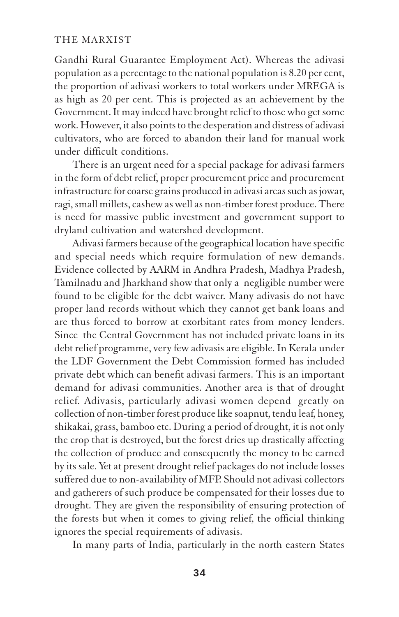Gandhi Rural Guarantee Employment Act). Whereas the adivasi population as a percentage to the national population is 8.20 per cent, the proportion of adivasi workers to total workers under MREGA is as high as 20 per cent. This is projected as an achievement by the Government. It may indeed have brought relief to those who get some work. However, it also points to the desperation and distress of adivasi cultivators, who are forced to abandon their land for manual work under difficult conditions.

There is an urgent need for a special package for adivasi farmers in the form of debt relief, proper procurement price and procurement infrastructure for coarse grains produced in adivasi areas such as jowar, ragi, small millets, cashew as well as non-timber forest produce. There is need for massive public investment and government support to dryland cultivation and watershed development.

Adivasi farmers because of the geographical location have specific and special needs which require formulation of new demands. Evidence collected by AARM in Andhra Pradesh, Madhya Pradesh, Tamilnadu and Jharkhand show that only a negligible number were found to be eligible for the debt waiver. Many adivasis do not have proper land records without which they cannot get bank loans and are thus forced to borrow at exorbitant rates from money lenders. Since the Central Government has not included private loans in its debt relief programme, very few adivasis are eligible. In Kerala under the LDF Government the Debt Commission formed has included private debt which can benefit adivasi farmers. This is an important demand for adivasi communities. Another area is that of drought relief. Adivasis, particularly adivasi women depend greatly on collection of non-timber forest produce like soapnut, tendu leaf, honey, shikakai, grass, bamboo etc. During a period of drought, it is not only the crop that is destroyed, but the forest dries up drastically affecting the collection of produce and consequently the money to be earned by its sale. Yet at present drought relief packages do not include losses suffered due to non-availability of MFP. Should not adivasi collectors and gatherers of such produce be compensated for their losses due to drought. They are given the responsibility of ensuring protection of the forests but when it comes to giving relief, the official thinking ignores the special requirements of adivasis.

In many parts of India, particularly in the north eastern States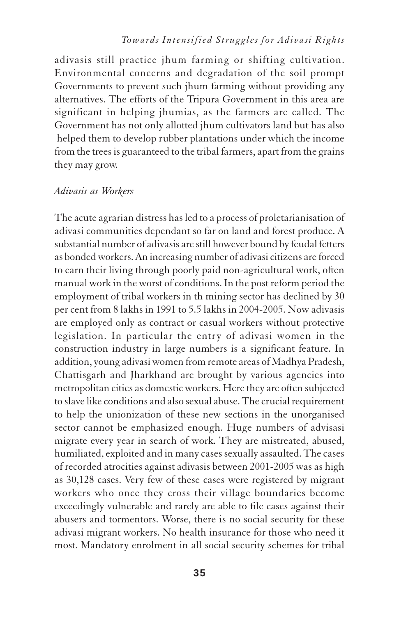# *Towards Intensified Struggles for Adivasi Rights*

adivasis still practice jhum farming or shifting cultivation. Environmental concerns and degradation of the soil prompt Governments to prevent such jhum farming without providing any alternatives. The efforts of the Tripura Government in this area are significant in helping jhumias, as the farmers are called. The Government has not only allotted jhum cultivators land but has also helped them to develop rubber plantations under which the income from the trees is guaranteed to the tribal farmers, apart from the grains they may grow.

## *Adivasis as Workers*

The acute agrarian distress has led to a process of proletarianisation of adivasi communities dependant so far on land and forest produce. A substantial number of adivasis are still however bound by feudal fetters as bonded workers. An increasing number of adivasi citizens are forced to earn their living through poorly paid non-agricultural work, often manual work in the worst of conditions. In the post reform period the employment of tribal workers in th mining sector has declined by 30 per cent from 8 lakhs in 1991 to 5.5 lakhs in 2004-2005. Now adivasis are employed only as contract or casual workers without protective legislation. In particular the entry of adivasi women in the construction industry in large numbers is a significant feature. In addition, young adivasi women from remote areas of Madhya Pradesh, Chattisgarh and Jharkhand are brought by various agencies into metropolitan cities as domestic workers. Here they are often subjected to slave like conditions and also sexual abuse. The crucial requirement to help the unionization of these new sections in the unorganised sector cannot be emphasized enough. Huge numbers of advisasi migrate every year in search of work. They are mistreated, abused, humiliated, exploited and in many cases sexually assaulted. The cases of recorded atrocities against adivasis between 2001-2005 was as high as 30,128 cases. Very few of these cases were registered by migrant workers who once they cross their village boundaries become exceedingly vulnerable and rarely are able to file cases against their abusers and tormentors. Worse, there is no social security for these adivasi migrant workers. No health insurance for those who need it most. Mandatory enrolment in all social security schemes for tribal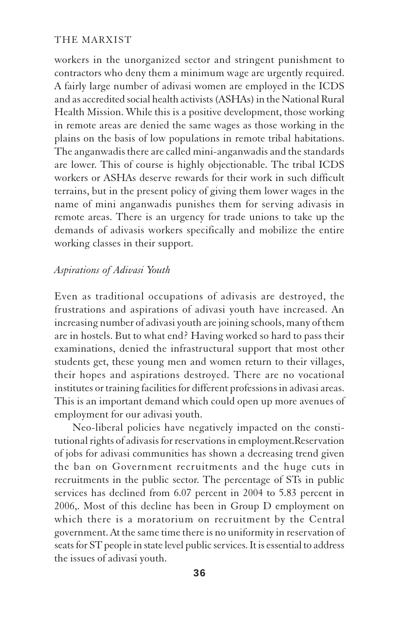workers in the unorganized sector and stringent punishment to contractors who deny them a minimum wage are urgently required. A fairly large number of adivasi women are employed in the ICDS and as accredited social health activists (ASHAs) in the National Rural Health Mission. While this is a positive development, those working in remote areas are denied the same wages as those working in the plains on the basis of low populations in remote tribal habitations. The anganwadis there are called mini-anganwadis and the standards are lower. This of course is highly objectionable. The tribal ICDS workers or ASHAs deserve rewards for their work in such difficult terrains, but in the present policy of giving them lower wages in the name of mini anganwadis punishes them for serving adivasis in remote areas. There is an urgency for trade unions to take up the demands of adivasis workers specifically and mobilize the entire working classes in their support.

# *Aspirations of Adivasi Youth*

Even as traditional occupations of adivasis are destroyed, the frustrations and aspirations of adivasi youth have increased. An increasing number of adivasi youth are joining schools, many of them are in hostels. But to what end? Having worked so hard to pass their examinations, denied the infrastructural support that most other students get, these young men and women return to their villages, their hopes and aspirations destroyed. There are no vocational institutes or training facilities for different professions in adivasi areas. This is an important demand which could open up more avenues of employment for our adivasi youth.

Neo-liberal policies have negatively impacted on the constitutional rights of adivasis for reservations in employment.Reservation of jobs for adivasi communities has shown a decreasing trend given the ban on Government recruitments and the huge cuts in recruitments in the public sector. The percentage of STs in public services has declined from 6.07 percent in 2004 to 5.83 percent in 2006,. Most of this decline has been in Group D employment on which there is a moratorium on recruitment by the Central government. At the same time there is no uniformity in reservation of seats for ST people in state level public services. It is essential to address the issues of adivasi youth.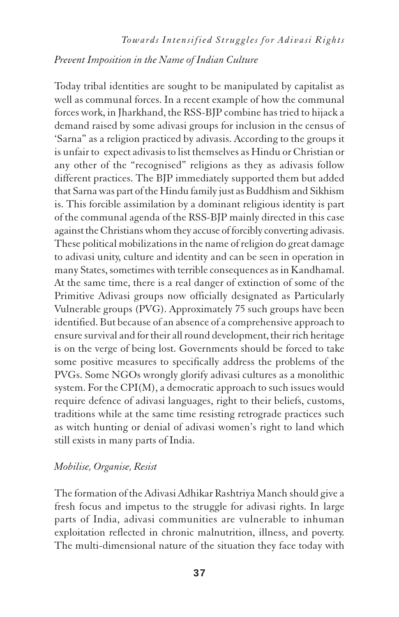# *Prevent Imposition in the Name of Indian Culture*

Today tribal identities are sought to be manipulated by capitalist as well as communal forces. In a recent example of how the communal forces work, in Jharkhand, the RSS-BJP combine has tried to hijack a demand raised by some adivasi groups for inclusion in the census of 'Sarna" as a religion practiced by adivasis. According to the groups it is unfair to expect adivasis to list themselves as Hindu or Christian or any other of the "recognised" religions as they as adivasis follow different practices. The BJP immediately supported them but added that Sarna was part of the Hindu family just as Buddhism and Sikhism is. This forcible assimilation by a dominant religious identity is part of the communal agenda of the RSS-BJP mainly directed in this case against the Christians whom they accuse of forcibly converting adivasis. These political mobilizations in the name of religion do great damage to adivasi unity, culture and identity and can be seen in operation in many States, sometimes with terrible consequences as in Kandhamal. At the same time, there is a real danger of extinction of some of the Primitive Adivasi groups now officially designated as Particularly Vulnerable groups (PVG). Approximately 75 such groups have been identified. But because of an absence of a comprehensive approach to ensure survival and for their all round development, their rich heritage is on the verge of being lost. Governments should be forced to take some positive measures to specifically address the problems of the PVGs. Some NGOs wrongly glorify adivasi cultures as a monolithic system. For the CPI(M), a democratic approach to such issues would require defence of adivasi languages, right to their beliefs, customs, traditions while at the same time resisting retrograde practices such as witch hunting or denial of adivasi women's right to land which still exists in many parts of India.

# *Mobilise, Organise, Resist*

The formation of the Adivasi Adhikar Rashtriya Manch should give a fresh focus and impetus to the struggle for adivasi rights. In large parts of India, adivasi communities are vulnerable to inhuman exploitation reflected in chronic malnutrition, illness, and poverty. The multi-dimensional nature of the situation they face today with